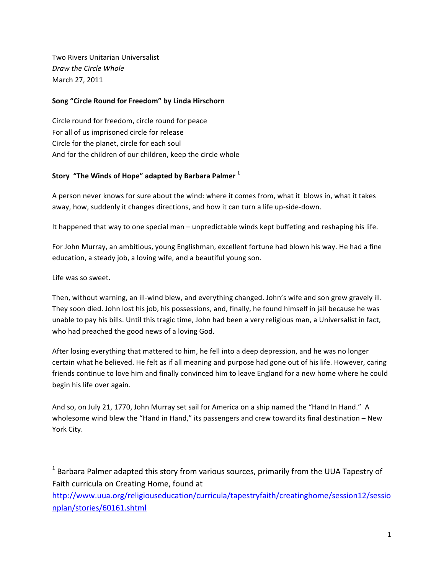Two Rivers Unitarian Universalist **Draw the Circle Whole** March 27, 2011

## Song "Circle Round for Freedom" by Linda Hirschorn

Circle round for freedom, circle round for peace For all of us imprisoned circle for release Circle for the planet, circle for each soul And for the children of our children, keep the circle whole

# Story "The Winds of Hope" adapted by Barbara Palmer<sup>1</sup>

A person never knows for sure about the wind: where it comes from, what it blows in, what it takes away, how, suddenly it changes directions, and how it can turn a life up-side-down.

It happened that way to one special man – unpredictable winds kept buffeting and reshaping his life.

For John Murray, an ambitious, young Englishman, excellent fortune had blown his way. He had a fine education, a steady job, a loving wife, and a beautiful young son.

Life was so sweet.

!!!!!!!!!!!!!!!!!!!!!!!!!!!!!!!!!!!!!!!!!!!!!!!!!!!!!!!!!!!!

Then, without warning, an ill-wind blew, and everything changed. John's wife and son grew gravely ill. They soon died. John lost his job, his possessions, and, finally, he found himself in jail because he was unable to pay his bills. Until this tragic time, John had been a very religious man, a Universalist in fact, who had preached the good news of a loving God.

After losing everything that mattered to him, he fell into a deep depression, and he was no longer certain what he believed. He felt as if all meaning and purpose had gone out of his life. However, caring friends continue to love him and finally convinced him to leave England for a new home where he could begin his life over again.

And so, on July 21, 1770, John Murray set sail for America on a ship named the "Hand In Hand." A wholesome wind blew the "Hand in Hand," its passengers and crew toward its final destination – New York City.

 $^1$  Barbara Palmer adapted this story from various sources, primarily from the UUA Tapestry of Faith curricula on Creating Home, found at

http://www.uua.org/religiouseducation/curricula/tapestryfaith/creatinghome/session12/sessio nplan/stories/60161.shtml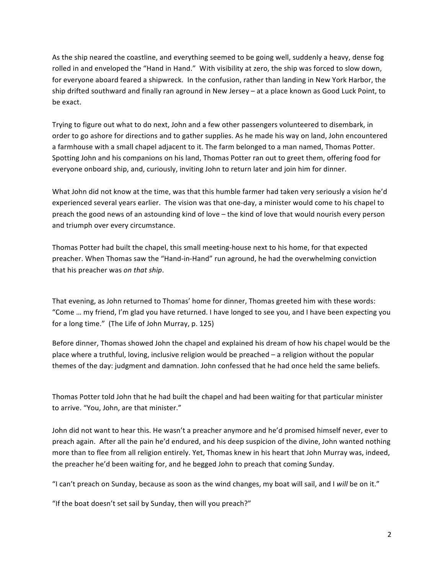As the ship neared the coastline, and everything seemed to be going well, suddenly a heavy, dense fog rolled in and enveloped the "Hand in Hand." With visibility at zero, the ship was forced to slow down, for everyone aboard feared a shipwreck. In the confusion, rather than landing in New York Harbor, the ship drifted southward and finally ran aground in New Jersey – at a place known as Good Luck Point, to be exact.

Trying to figure out what to do next, John and a few other passengers volunteered to disembark, in order to go ashore for directions and to gather supplies. As he made his way on land, John encountered a farmhouse with a small chapel adjacent to it. The farm belonged to a man named, Thomas Potter. Spotting John and his companions on his land, Thomas Potter ran out to greet them, offering food for everyone onboard ship, and, curiously, inviting John to return later and join him for dinner.

What John did not know at the time, was that this humble farmer had taken very seriously a vision he'd experienced several years earlier. The vision was that one-day, a minister would come to his chapel to preach the good news of an astounding kind of love – the kind of love that would nourish every person and triumph over every circumstance.

Thomas Potter had built the chapel, this small meeting-house next to his home, for that expected preacher. When Thomas saw the "Hand-in-Hand" run aground, he had the overwhelming conviction that his preacher was *on that ship*.

That evening, as John returned to Thomas' home for dinner, Thomas greeted him with these words: "Come ... my friend, I'm glad you have returned. I have longed to see you, and I have been expecting you for a long time." (The Life of John Murray, p. 125)

Before dinner, Thomas showed John the chapel and explained his dream of how his chapel would be the place where a truthful, loving, inclusive religion would be preached – a religion without the popular themes of the day: judgment and damnation. John confessed that he had once held the same beliefs.

Thomas Potter told John that he had built the chapel and had been waiting for that particular minister to arrive. "You, John, are that minister."

John did not want to hear this. He wasn't a preacher anymore and he'd promised himself never, ever to preach again. After all the pain he'd endured, and his deep suspicion of the divine, John wanted nothing more than to flee from all religion entirely. Yet, Thomas knew in his heart that John Murray was, indeed, the preacher he'd been waiting for, and he begged John to preach that coming Sunday.

"I can't preach on Sunday, because as soon as the wind changes, my boat will sail, and I will be on it."

"If the boat doesn't set sail by Sunday, then will you preach?"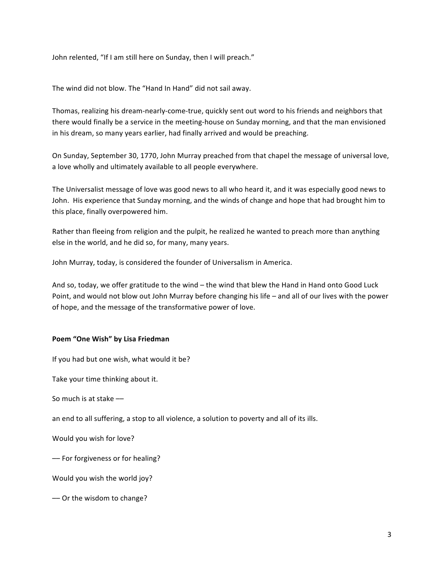John relented, "If I am still here on Sunday, then I will preach."

The wind did not blow. The "Hand In Hand" did not sail away.

Thomas, realizing his dream-nearly-come-true, quickly sent out word to his friends and neighbors that there would finally be a service in the meeting-house on Sunday morning, and that the man envisioned in his dream, so many years earlier, had finally arrived and would be preaching.

On Sunday, September 30, 1770, John Murray preached from that chapel the message of universal love, a love wholly and ultimately available to all people everywhere.

The Universalist message of love was good news to all who heard it, and it was especially good news to John. His experience that Sunday morning, and the winds of change and hope that had brought him to this place, finally overpowered him.

Rather than fleeing from religion and the pulpit, he realized he wanted to preach more than anything else in the world, and he did so, for many, many years.

John Murray, today, is considered the founder of Universalism in America.

And so, today, we offer gratitude to the wind – the wind that blew the Hand in Hand onto Good Luck Point, and would not blow out John Murray before changing his life – and all of our lives with the power of hope, and the message of the transformative power of love.

#### Poem "One Wish" by Lisa Friedman

If you had but one wish, what would it be?

Take your time thinking about it.

So much is at stake ––

an end to all suffering, a stop to all violence, a solution to poverty and all of its ills.

Would you wish for love?

-For forgiveness or for healing?

Would you wish the world joy?

- Or the wisdom to change?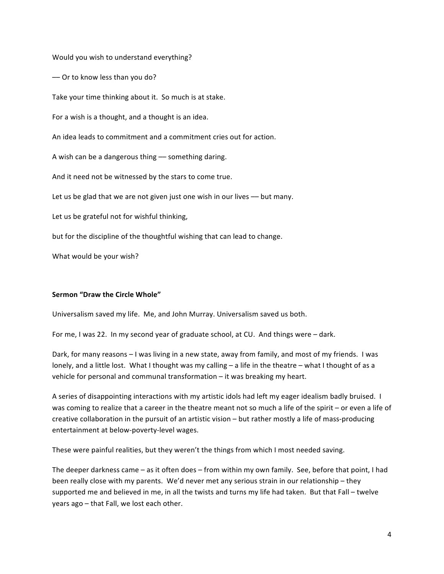Would you wish to understand everything?

-Or to know less than you do?

Take your time thinking about it. So much is at stake.

For a wish is a thought, and a thought is an idea.

An idea leads to commitment and a commitment cries out for action.

A wish can be a dangerous thing -- something daring.

And it need not be witnessed by the stars to come true.

Let us be glad that we are not given just one wish in our lives -- but many.

Let us be grateful not for wishful thinking,

but for the discipline of the thoughtful wishing that can lead to change.

What would be your wish?

#### **Sermon "Draw the Circle Whole"**

Universalism saved my life. Me, and John Murray. Universalism saved us both.

For me, I was 22. In my second year of graduate school, at CU. And things were – dark.

Dark, for many reasons – I was living in a new state, away from family, and most of my friends. I was lonely, and a little lost. What I thought was my calling – a life in the theatre – what I thought of as a vehicle for personal and communal transformation – it was breaking my heart.

A series of disappointing interactions with my artistic idols had left my eager idealism badly bruised. I was coming to realize that a career in the theatre meant not so much a life of the spirit – or even a life of creative collaboration in the pursuit of an artistic vision – but rather mostly a life of mass-producing entertainment at below-poverty-level wages.

These were painful realities, but they weren't the things from which I most needed saving.

The deeper darkness came – as it often does – from within my own family. See, before that point, I had been really close with my parents. We'd never met any serious strain in our relationship – they supported me and believed in me, in all the twists and turns my life had taken. But that Fall – twelve years ago – that Fall, we lost each other.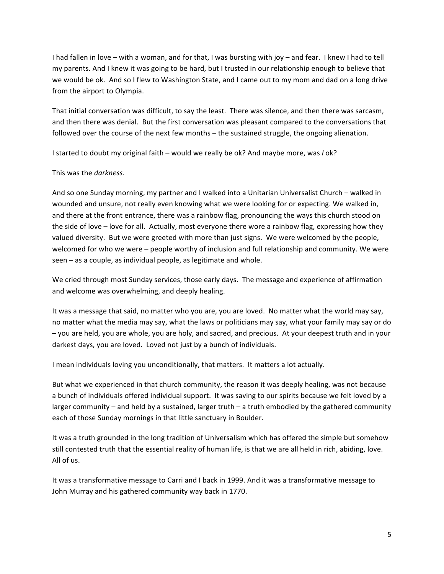I had fallen in love – with a woman, and for that, I was bursting with joy – and fear. I knew I had to tell my parents. And I knew it was going to be hard, but I trusted in our relationship enough to believe that we would be ok. And so I flew to Washington State, and I came out to my mom and dad on a long drive from the airport to Olympia.

That initial conversation was difficult, to say the least. There was silence, and then there was sarcasm, and then there was denial. But the first conversation was pleasant compared to the conversations that followed over the course of the next few months – the sustained struggle, the ongoing alienation.

I started to doubt my original faith – would we really be ok? And maybe more, was *I* ok?

### This was the *darkness*.

And so one Sunday morning, my partner and I walked into a Unitarian Universalist Church – walked in wounded and unsure, not really even knowing what we were looking for or expecting. We walked in, and there at the front entrance, there was a rainbow flag, pronouncing the ways this church stood on the side of love – love for all. Actually, most everyone there wore a rainbow flag, expressing how they valued diversity. But we were greeted with more than just signs. We were welcomed by the people, welcomed for who we were – people worthy of inclusion and full relationship and community. We were seen – as a couple, as individual people, as legitimate and whole.

We cried through most Sunday services, those early days. The message and experience of affirmation and welcome was overwhelming, and deeply healing.

It was a message that said, no matter who you are, you are loved. No matter what the world may say, no matter what the media may say, what the laws or politicians may say, what your family may say or do - you are held, you are whole, you are holy, and sacred, and precious. At your deepest truth and in your darkest days, you are loved. Loved not just by a bunch of individuals.

I mean individuals loving you unconditionally, that matters. It matters a lot actually.

But what we experienced in that church community, the reason it was deeply healing, was not because a bunch of individuals offered individual support. It was saving to our spirits because we felt loved by a larger community – and held by a sustained, larger truth – a truth embodied by the gathered community each of those Sunday mornings in that little sanctuary in Boulder.

It was a truth grounded in the long tradition of Universalism which has offered the simple but somehow still contested truth that the essential reality of human life, is that we are all held in rich, abiding, love. All of us.

It was a transformative message to Carri and I back in 1999. And it was a transformative message to John Murray and his gathered community way back in 1770.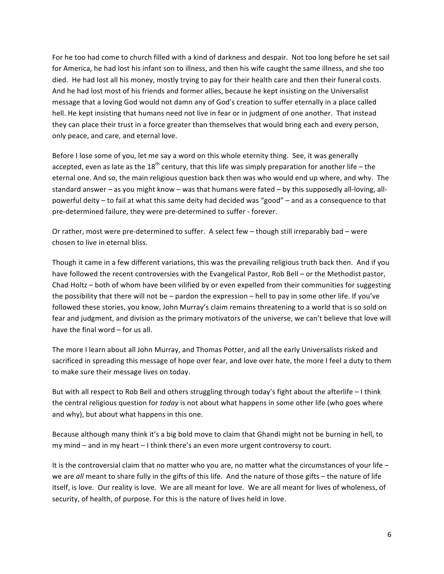For he too had come to church filled with a kind of darkness and despair. Not too long before he set sail for America, he had lost his infant son to illness, and then his wife caught the same illness, and she too died. He had lost all his money, mostly trying to pay for their health care and then their funeral costs. And he had lost most of his friends and former allies, because he kept insisting on the Universalist message that a loving God would not damn any of God's creation to suffer eternally in a place called hell. He kept insisting that humans need not live in fear or in judgment of one another. That instead they can place their trust in a force greater than themselves that would bring each and every person, only peace, and care, and eternal love.

Before I lose some of you, let me say a word on this whole eternity thing. See, it was generally accepted, even as late as the  $18<sup>th</sup>$  century, that this life was simply preparation for another life – the eternal one. And so, the main religious question back then was who would end up where, and why. The standard answer – as you might know – was that humans were fated – by this supposedly all-loving, allpowerful deity – to fail at what this same deity had decided was "good" – and as a consequence to that pre-determined failure, they were pre-determined to suffer - forever.

Or rather, most were pre-determined to suffer. A select few – though still irreparably bad – were chosen to live in eternal bliss.

Though it came in a few different variations, this was the prevailing religious truth back then. And if you have followed the recent controversies with the Evangelical Pastor, Rob Bell – or the Methodist pastor, Chad Holtz – both of whom have been vilified by or even expelled from their communities for suggesting the possibility that there will not be – pardon the expression – hell to pay in some other life. If you've followed these stories, you know, John Murray's claim remains threatening to a world that is so sold on fear and judgment, and division as the primary motivators of the universe, we can't believe that love will have the final word  $-$  for us all.

The more I learn about all John Murray, and Thomas Potter, and all the early Universalists risked and sacrificed in spreading this message of hope over fear, and love over hate, the more I feel a duty to them to make sure their message lives on today.

But with all respect to Rob Bell and others struggling through today's fight about the afterlife – I think the central religious question for *today* is not about what happens in some other life (who goes where and why), but about what happens in this one.

Because although many think it's a big bold move to claim that Ghandi might not be burning in hell, to my mind – and in my heart – I think there's an even more urgent controversy to court.

It is the controversial claim that no matter who you are, no matter what the circumstances of your life – we are *all* meant to share fully in the gifts of this life. And the nature of those gifts – the nature of life itself, is love. Our reality is love. We are all meant for love. We are all meant for lives of wholeness, of security, of health, of purpose. For this is the nature of lives held in love.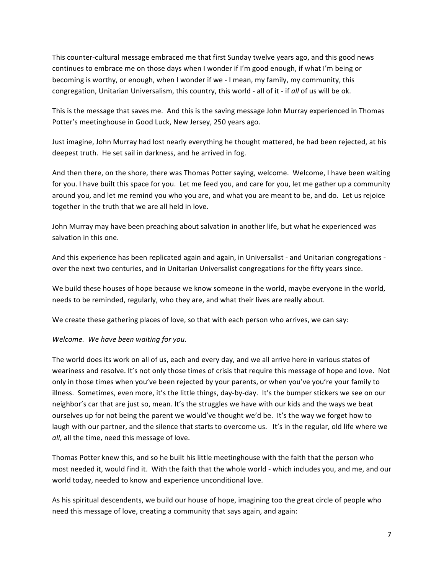This counter-cultural message embraced me that first Sunday twelve years ago, and this good news continues to embrace me on those days when I wonder if I'm good enough, if what I'm being or becoming is worthy, or enough, when I wonder if we - I mean, my family, my community, this congregation, Unitarian Universalism, this country, this world - all of it - if all of us will be ok.

This is the message that saves me. And this is the saving message John Murray experienced in Thomas Potter's meetinghouse in Good Luck, New Jersey, 250 years ago.

Just imagine, John Murray had lost nearly everything he thought mattered, he had been rejected, at his deepest truth. He set sail in darkness, and he arrived in fog.

And then there, on the shore, there was Thomas Potter saying, welcome. Welcome, I have been waiting for you. I have built this space for you. Let me feed you, and care for you, let me gather up a community around you, and let me remind you who you are, and what you are meant to be, and do. Let us rejoice together in the truth that we are all held in love.

John Murray may have been preaching about salvation in another life, but what he experienced was salvation in this one.

And this experience has been replicated again and again, in Universalist - and Unitarian congregations over the next two centuries, and in Unitarian Universalist congregations for the fifty years since.

We build these houses of hope because we know someone in the world, maybe everyone in the world, needs to be reminded, regularly, who they are, and what their lives are really about.

We create these gathering places of love, so that with each person who arrives, we can say:

*Welcome. We have been waiting for you.* 

The world does its work on all of us, each and every day, and we all arrive here in various states of weariness and resolve. It's not only those times of crisis that require this message of hope and love. Not only in those times when you've been rejected by your parents, or when you've you're your family to illness. Sometimes, even more, it's the little things, day-by-day. It's the bumper stickers we see on our neighbor's car that are just so, mean. It's the struggles we have with our kids and the ways we beat ourselves up for not being the parent we would've thought we'd be. It's the way we forget how to laugh with our partner, and the silence that starts to overcome us. It's in the regular, old life where we *all*, all the time, need this message of love.

Thomas Potter knew this, and so he built his little meetinghouse with the faith that the person who most needed it, would find it. With the faith that the whole world - which includes you, and me, and our world today, needed to know and experience unconditional love.

As his spiritual descendents, we build our house of hope, imagining too the great circle of people who need this message of love, creating a community that says again, and again: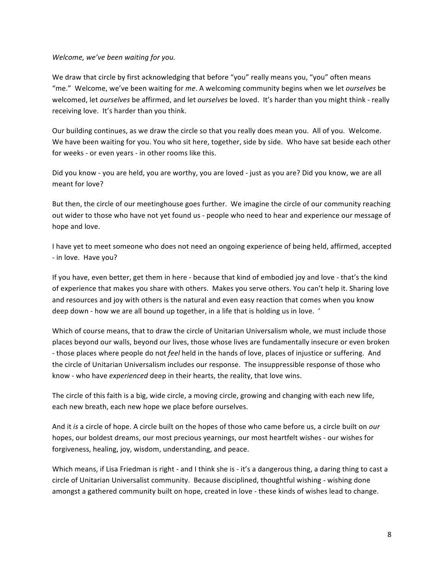*Welcome, we've been waiting for you.* 

We draw that circle by first acknowledging that before "you" really means you, "you" often means "me." Welcome, we've been waiting for *me*. A welcoming community begins when we let *ourselves* be welcomed, let *ourselves* be affirmed, and let *ourselves* be loved. It's harder than you might think - really receiving love. It's harder than you think.

Our building continues, as we draw the circle so that you really does mean you. All of you. Welcome. We have been waiting for you. You who sit here, together, side by side. Who have sat beside each other for weeks - or even years - in other rooms like this.

Did you know - you are held, you are worthy, you are loved - just as you are? Did you know, we are all meant for love?

But then, the circle of our meetinghouse goes further. We imagine the circle of our community reaching out wider to those who have not yet found us - people who need to hear and experience our message of hope and love.

I have yet to meet someone who does not need an ongoing experience of being held, affirmed, accepted - in love. Have you?

If you have, even better, get them in here - because that kind of embodied joy and love - that's the kind of experience that makes you share with others. Makes you serve others. You can't help it. Sharing love and resources and joy with others is the natural and even easy reaction that comes when you know deep down - how we are all bound up together, in a life that is holding us in love. '

Which of course means, that to draw the circle of Unitarian Universalism whole, we must include those places beyond our walls, beyond our lives, those whose lives are fundamentally insecure or even broken - those places where people do not *feel* held in the hands of love, places of injustice or suffering. And the circle of Unitarian Universalism includes our response. The insuppressible response of those who know - who have *experienced* deep in their hearts, the reality, that love wins.

The circle of this faith is a big, wide circle, a moving circle, growing and changing with each new life, each new breath, each new hope we place before ourselves.

And it *is* a circle of hope. A circle built on the hopes of those who came before us, a circle built on *our* hopes, our boldest dreams, our most precious yearnings, our most heartfelt wishes - our wishes for forgiveness, healing, joy, wisdom, understanding, and peace.

Which means, if Lisa Friedman is right - and I think she is - it's a dangerous thing, a daring thing to cast a circle of Unitarian Universalist community. Because disciplined, thoughtful wishing - wishing done amongst a gathered community built on hope, created in love - these kinds of wishes lead to change.